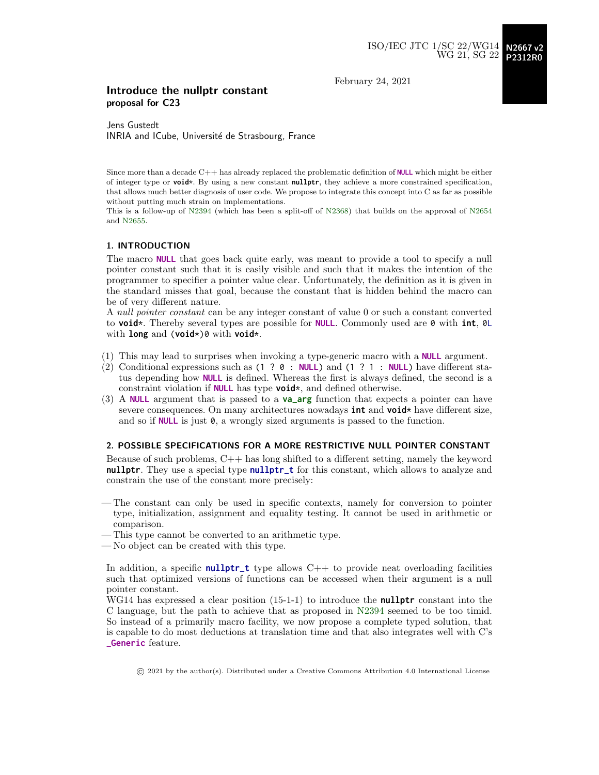February 24, 2021

#### Introduce the nullptr constant proposal for C23

Jens Gustedt INRIA and ICube, Université de Strasbourg, France

Since more than a decade C++ has already replaced the problematic definition of **NULL** which might be either of integer type or **void**\*. By using a new constant **nullptr**, they achieve a more constrained specification, that allows much better diagnosis of user code. We propose to integrate this concept into C as far as possible without putting much strain on implementations.

This is a follow-up of [N2394](http://www.open-std.org/jtc1/sc22/wg14/www/docs/n2394.pdf) (which has been a split-off of [N2368\)](http://www.open-std.org/jtc1/sc22/wg14/www/docs/n2368.pdf) that builds on the approval of [N2654](http://www.open-std.org/jtc1/sc22/wg14/www/docs/n2654.pdf) and [N2655.](http://www.open-std.org/jtc1/sc22/wg14/www/docs/n2655.pdf)

#### 1. INTRODUCTION

The macro **NULL** that goes back quite early, was meant to provide a tool to specify a null pointer constant such that it is easily visible and such that it makes the intention of the programmer to specifier a pointer value clear. Unfortunately, the definition as it is given in the standard misses that goal, because the constant that is hidden behind the macro can be of very different nature.

A null pointer constant can be any integer constant of value 0 or such a constant converted to **void**\*. Thereby several types are possible for **NULL**. Commonly used are 0 with **int**, 0L with **long** and (**void**\*)0 with **void**\*.

- (1) This may lead to surprises when invoking a type-generic macro with a **NULL** argument.
- (2) Conditional expressions such as (1 ? 0 : **NULL**) and (1 ? 1 : **NULL**) have different status depending how **NULL** is defined. Whereas the first is always defined, the second is a constraint violation if **NULL** has type **void**\*, and defined otherwise.
- (3) A **NULL** argument that is passed to a **va\_arg** function that expects a pointer can have severe consequences. On many architectures nowadays **int** and **void**\* have different size, and so if **NULL** is just 0, a wrongly sized arguments is passed to the function.

#### 2. POSSIBLE SPECIFICATIONS FOR A MORE RESTRICTIVE NULL POINTER CONSTANT

Because of such problems, C++ has long shifted to a different setting, namely the keyword **nullptr**. They use a special type **nullptr\_t** for this constant, which allows to analyze and constrain the use of the constant more precisely:

- The constant can only be used in specific contexts, namely for conversion to pointer type, initialization, assignment and equality testing. It cannot be used in arithmetic or comparison.
- This type cannot be converted to an arithmetic type.
- No object can be created with this type.

In addition, a specific **nullptr\_t** type allows C++ to provide neat overloading facilities such that optimized versions of functions can be accessed when their argument is a null pointer constant.

WG14 has expressed a clear position (15-1-1) to introduce the **nullptr** constant into the C language, but the path to achieve that as proposed in [N2394](http://www.open-std.org/jtc1/sc22/wg14/www/docs/n2394.pdf) seemed to be too timid. So instead of a primarily macro facility, we now propose a complete typed solution, that is capable to do most deductions at translation time and that also integrates well with C's **\_Generic** feature.

© 2021 by the author(s). Distributed under a Creative Commons Attribution 4.0 International License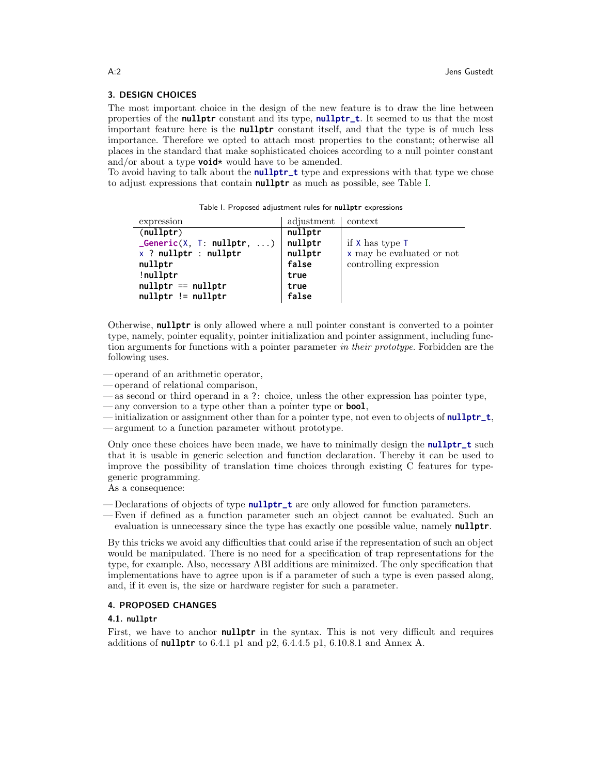#### 3. DESIGN CHOICES

The most important choice in the design of the new feature is to draw the line between properties of the **nullptr** constant and its type, **nullptr\_t**. It seemed to us that the most important feature here is the **nullptr** constant itself, and that the type is of much less importance. Therefore we opted to attach most properties to the constant; otherwise all places in the standard that make sophisticated choices according to a null pointer constant and/or about a type **void**\* would have to be amended.

To avoid having to talk about the **nullptr\_t** type and expressions with that type we chose to adjust expressions that contain **nullptr** as much as possible, see Table [I.](#page-1-0)

<span id="page-1-0"></span>Table I. Proposed adjustment rules for **nullptr** expressions

| expression                           | adjustment | context                   |
|--------------------------------------|------------|---------------------------|
| $\text{(nullptr)}$                   | nullptr    |                           |
| ${\sf \_}Generator(X, T: nullptr, )$ | nullptr    | if $X$ has type $T$       |
| $x$ ? nullptr : nullptr              | nullptr    | x may be evaluated or not |
| nullptr                              | false      | controlling expression    |
| !nullptr                             | true       |                           |
| $nullptr == nullptr$                 | true       |                           |
| $nullptr$ != $nullptr$               | false      |                           |

Otherwise, **nullptr** is only allowed where a null pointer constant is converted to a pointer type, namely, pointer equality, pointer initialization and pointer assignment, including function arguments for functions with a pointer parameter in their prototype. Forbidden are the following uses.

- operand of an arithmetic operator,
- operand of relational comparison,
- as second or third operand in a ?: choice, unless the other expression has pointer type,
- any conversion to a type other than a pointer type or **bool**,
- initialization or assignment other than for a pointer type, not even to objects of **nullptr\_t**,
- argument to a function parameter without prototype.

Only once these choices have been made, we have to minimally design the **nullptr\_t** such that it is usable in generic selection and function declaration. Thereby it can be used to improve the possibility of translation time choices through existing C features for typegeneric programming.

As a consequence:

- Declarations of objects of type **nullptr\_t** are only allowed for function parameters.
- Even if defined as a function parameter such an object cannot be evaluated. Such an evaluation is unnecessary since the type has exactly one possible value, namely **nullptr**.

By this tricks we avoid any difficulties that could arise if the representation of such an object would be manipulated. There is no need for a specification of trap representations for the type, for example. Also, necessary ABI additions are minimized. The only specification that implementations have to agree upon is if a parameter of such a type is even passed along, and, if it even is, the size or hardware register for such a parameter.

#### 4. PROPOSED CHANGES

#### 4.1. **nullptr**

First, we have to anchor **nullptr** in the syntax. This is not very difficult and requires additions of **nullptr** to 6.4.1 p1 and p2, 6.4.4.5 p1, 6.10.8.1 and Annex A.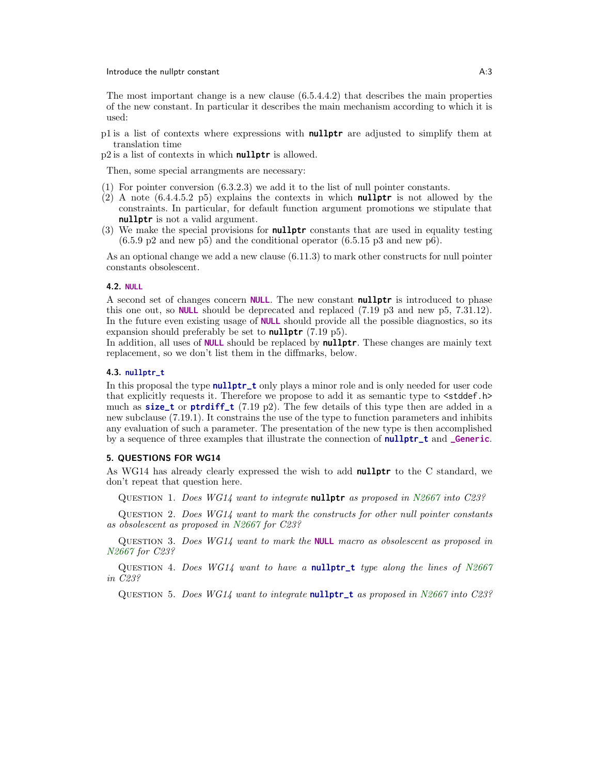#### **Introduce the nullptr constant A:3** A:3

The most important change is a new clause  $(6.5.4.4.2)$  that describes the main properties of the new constant. In particular it describes the main mechanism according to which it is used:

p1 is a list of contexts where expressions with **nullptr** are adjusted to simplify them at translation time

p2 is a list of contexts in which **nullptr** is allowed.

Then, some special arrangments are necessary:

- (1) For pointer conversion (6.3.2.3) we add it to the list of null pointer constants.
- (2) A note (6.4.4.5.2 p5) explains the contexts in which **nullptr** is not allowed by the constraints. In particular, for default function argument promotions we stipulate that **nullptr** is not a valid argument.
- (3) We make the special provisions for **nullptr** constants that are used in equality testing  $(6.5.9 \text{ p2} \text{ and new p5})$  and the conditional operator  $(6.5.15 \text{ p3} \text{ and new p6}).$

As an optional change we add a new clause (6.11.3) to mark other constructs for null pointer constants obsolescent.

#### 4.2. **NULL**

A second set of changes concern **NULL**. The new constant **nullptr** is introduced to phase this one out, so **NULL** should be deprecated and replaced (7.19 p3 and new p5, 7.31.12). In the future even existing usage of **NULL** should provide all the possible diagnostics, so its expansion should preferably be set to **nullptr** (7.19 p5).

In addition, all uses of **NULL** should be replaced by **nullptr**. These changes are mainly text replacement, so we don't list them in the diffmarks, below.

#### 4.3. **nullptr\_t**

In this proposal the type **nullptr\_t** only plays a minor role and is only needed for user code that explicitly requests it. Therefore we propose to add it as semantic type to  $\lt$  stddef.h> much as **size\_t** or **ptrdiff\_t** (7.19 p2). The few details of this type then are added in a new subclause (7.19.1). It constrains the use of the type to function parameters and inhibits any evaluation of such a parameter. The presentation of the new type is then accomplished by a sequence of three examples that illustrate the connection of **nullptr\_t** and **\_Generic**.

#### 5. QUESTIONS FOR WG14

As WG14 has already clearly expressed the wish to add **nullptr** to the C standard, we don't repeat that question here.

Question 1. Does WG14 want to integrate **nullptr** as proposed in [N2667](http://www.open-std.org/jtc1/sc22/wg14/www/docs/n2667.pdf) into C23?

QUESTION 2. Does  $WGI4$  want to mark the constructs for other null pointer constants as obsolescent as proposed in [N2667](http://www.open-std.org/jtc1/sc22/wg14/www/docs/n2667.pdf) for C23?

Question 3. Does WG14 want to mark the **NULL** macro as obsolescent as proposed in [N2667](http://www.open-std.org/jtc1/sc22/wg14/www/docs/n2667.pdf) for C23?

QUESTION 4. Does  $WGI4$  want to have a **nullptr\_t** type along the lines of  $N2667$ in C23?

Question 5. Does WG14 want to integrate **nullptr\_t** as proposed in [N2667](http://www.open-std.org/jtc1/sc22/wg14/www/docs/n2667.pdf) into C23?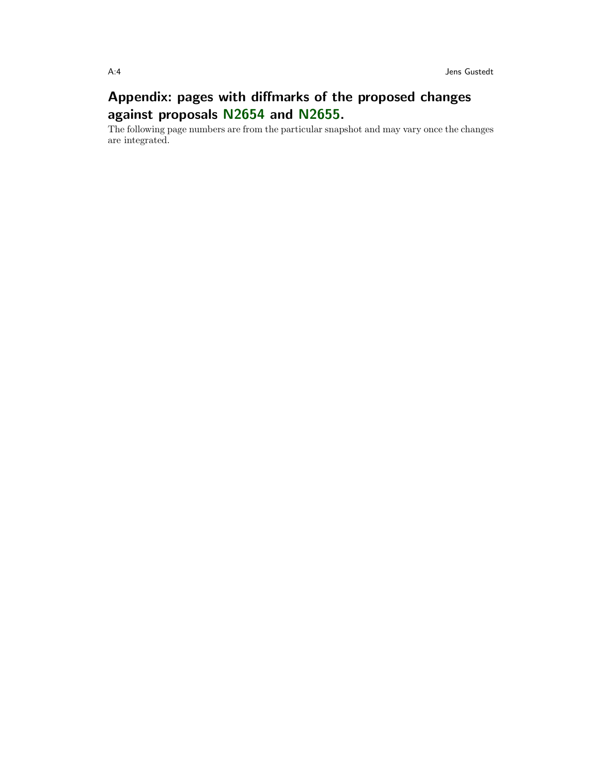# Appendix: pages with diffmarks of the proposed changes against proposals [N2654](http://www.open-std.org/jtc1/sc22/wg14/www/docs/n2654.pdf) and [N2655.](http://www.open-std.org/jtc1/sc22/wg14/www/docs/n2655.pdf)

The following page numbers are from the particular snapshot and may vary once the changes are integrated.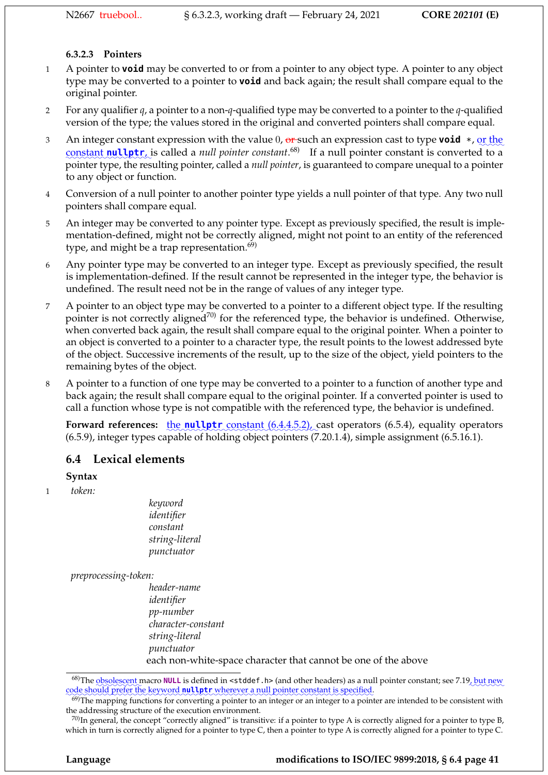## **6.3.2.3 Pointers**

- 1 A pointer to **void** may be converted to or from a pointer to any object type. A pointer to any object type may be converted to a pointer to **void** and back again; the result shall compare equal to the original pointer.
- 2 For any qualifier *q*, a pointer to a non-*q*-qualified type may be converted to a pointer to the *q*-qualified version of the type; the values stored in the original and converted pointers shall compare equal.
- 3 An integer constant expression with the value 0, <del>or</del> such an expression cast to type **void** \*, <u>or the</u> constant **nullptr**, is called a *null pointer constant*.<sup>68)</sup> If a null pointer constant is converted to a pointer type, the resulting pointer, called a *null pointer*, is guaranteed to compare unequal to a pointer to any object or function.
- 4 Conversion of a null pointer to another pointer type yields a null pointer of that type. Any two null pointers shall compare equal.
- 5 An integer may be converted to any pointer type. Except as previously specified, the result is implementation-defined, might not be correctly aligned, might not point to an entity of the referenced type, and might be a trap representation. $69$
- 6 Any pointer type may be converted to an integer type. Except as previously specified, the result is implementation-defined. If the result cannot be represented in the integer type, the behavior is undefined. The result need not be in the range of values of any integer type.
- 7 A pointer to an object type may be converted to a pointer to a different object type. If the resulting pointer is not correctly aligned<sup>70)</sup> for the referenced type, the behavior is undefined. Otherwise, when converted back again, the result shall compare equal to the original pointer. When a pointer to an object is converted to a pointer to a character type, the result points to the lowest addressed byte of the object. Successive increments of the result, up to the size of the object, yield pointers to the remaining bytes of the object.
- 8 A pointer to a function of one type may be converted to a pointer to a function of another type and back again; the result shall compare equal to the original pointer. If a converted pointer is used to call a function whose type is not compatible with the referenced type, the behavior is undefined.

**Forward references:** the **nullptr** constant  $(6.4.4.5.2)$ , cast operators (6.5.4), equality operators (6.5.9), integer types capable of holding object pointers (7.20.1.4), simple assignment (6.5.16.1).

## **6.4 Lexical elements**

### **Syntax**

1 *token:*

*keyword identifier constant string-literal punctuator*

*preprocessing-token:*

*header-name identifier pp-number character-constant string-literal punctuator* each non-white-space character that cannot be one of the above

<sup>&</sup>lt;sup>68)</sup>The <u>obsolescent</u> macro **NULL** is defined in <stddef.h> (and other headers) as a null pointer constant; see 7.19, but new code should prefer the keyword nullptr wherever a null pointer constant is specified.

 $^{69}$ )The mapping functions for converting a pointer to an integer or an integer to a pointer are intended to be consistent with the addressing structure of the execution environment.

 $^{70}$ In general, the concept "correctly aligned" is transitive: if a pointer to type A is correctly aligned for a pointer to type B, which in turn is correctly aligned for a pointer to type C, then a pointer to type A is correctly aligned for a pointer to type C.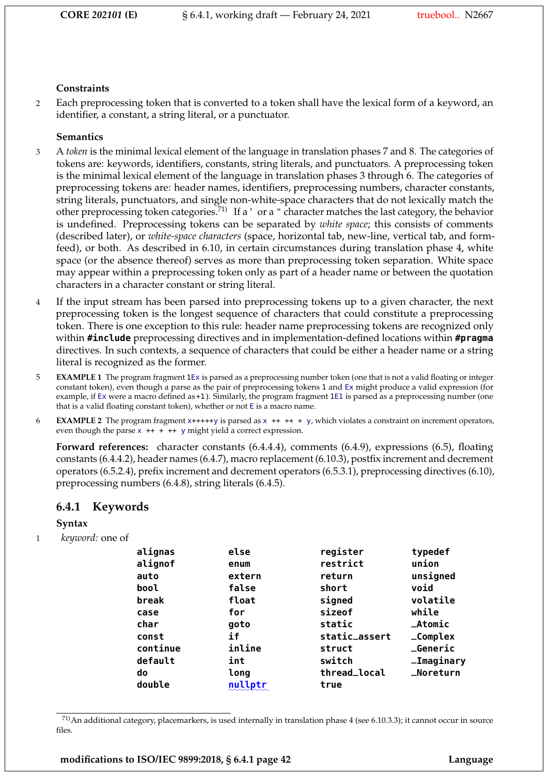#### **Constraints**

2 Each preprocessing token that is converted to a token shall have the lexical form of a keyword, an identifier, a constant, a string literal, or a punctuator.

### **Semantics**

- 3 A *token* is the minimal lexical element of the language in translation phases 7 and 8. The categories of tokens are: keywords, identifiers, constants, string literals, and punctuators. A preprocessing token is the minimal lexical element of the language in translation phases 3 through 6. The categories of preprocessing tokens are: header names, identifiers, preprocessing numbers, character constants, string literals, punctuators, and single non-white-space characters that do not lexically match the other preprocessing token categories.71) If a' or a " character matches the last category, the behavior is undefined. Preprocessing tokens can be separated by *white space*; this consists of comments (described later), or *white-space characters* (space, horizontal tab, new-line, vertical tab, and formfeed), or both. As described in 6.10, in certain circumstances during translation phase 4, white space (or the absence thereof) serves as more than preprocessing token separation. White space may appear within a preprocessing token only as part of a header name or between the quotation characters in a character constant or string literal.
- 4 If the input stream has been parsed into preprocessing tokens up to a given character, the next preprocessing token is the longest sequence of characters that could constitute a preprocessing token. There is one exception to this rule: header name preprocessing tokens are recognized only within **#include** preprocessing directives and in implementation-defined locations within **#pragma** directives. In such contexts, a sequence of characters that could be either a header name or a string literal is recognized as the former.
- 5 **EXAMPLE 1** The program fragment 1Ex is parsed as a preprocessing number token (one that is not a valid floating or integer constant token), even though a parse as the pair of preprocessing tokens 1 and Ex might produce a valid expression (for example, if Ex were a macro defined as+1). Similarly, the program fragment 1E1 is parsed as a preprocessing number (one that is a valid floating constant token), whether or not E is a macro name.
- 6 **EXAMPLE 2** The program fragment x+++++y is parsed as x ++ ++ + y, which violates a constraint on increment operators, even though the parse  $x$  ++ + ++  $y$  might yield a correct expression.

**Forward references:** character constants (6.4.4.4), comments (6.4.9), expressions (6.5), floating constants (6.4.4.2), header names (6.4.7), macro replacement (6.10.3), postfix increment and decrement operators (6.5.2.4), prefix increment and decrement operators (6.5.3.1), preprocessing directives (6.10), preprocessing numbers (6.4.8), string literals (6.4.5).

### **6.4.1 Keywords**

### **Syntax**

1 *keyword:* one of

| alignas  | else    | register      | typedef             |
|----------|---------|---------------|---------------------|
| alignof  | enum    | restrict      | union               |
| auto     | extern  | return        | unsigned            |
| bool     | false   | short         | void                |
| break    | float   | signed        | volatile            |
| case     | for     | sizeof        | while               |
| char     | goto    | static        | $\_Atomic$          |
| const    | if      | static_assert | $_{_{_{}}}$ Complex |
| continue | inline  | struct        | <b>_Generic</b>     |
| default  | int     | switch        | <b>_Imaginary</b>   |
| do       | long    | thread_local  | _Noreturn           |
| double   | nullptr | true          |                     |

 $^{71}$ An additional category, placemarkers, is used internally in translation phase 4 (see 6.10.3.3); it cannot occur in source files.

**modifications to ISO/IEC 9899:2018, § 6.4.1 page 42 Language**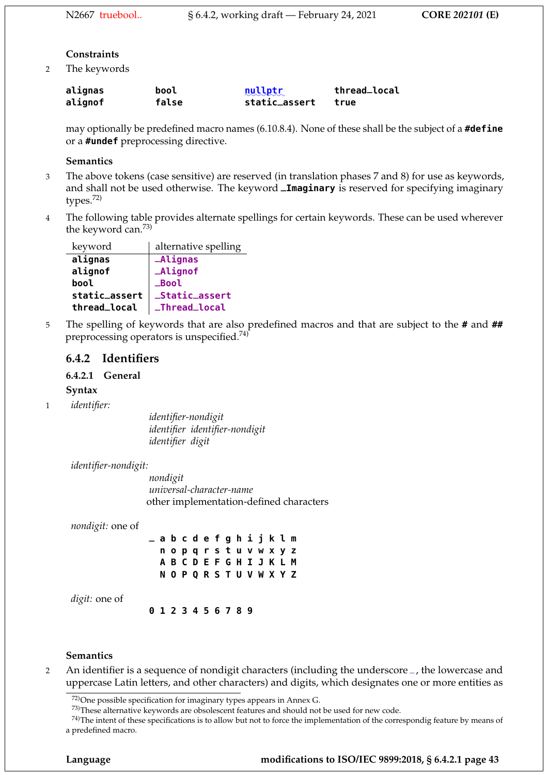#### **Constraints**

2 The keywords

| alignas | bool  | mullptr       | thread_local |
|---------|-------|---------------|--------------|
| alignof | false | static_assert | true         |

may optionally be predefined macro names (6.10.8.4). None of these shall be the subject of a **#define** or a **#undef** preprocessing directive.

#### **Semantics**

- 3 The above tokens (case sensitive) are reserved (in translation phases 7 and 8) for use as keywords, and shall not be used otherwise. The keyword **\_Imaginary** is reserved for specifying imaginary types.72)
- 4 The following table provides alternate spellings for certain keywords. These can be used wherever the keyword can.73)

| keyword       | alternative spelling |
|---------------|----------------------|
| alignas       | <b>_Alignas</b>      |
| alignof       | _Alignof             |
| bool          | <b>Bool</b>          |
| static_assert | _Static_assert       |
| thread_local  | _Thread_local        |

5 The spelling of keywords that are also predefined macros and that are subject to the **#** and **##** preprocessing operators is unspecified.74)

## **6.4.2 Identifiers**

### **6.4.2.1 General**

#### **Syntax**

1 *identifier:*

*identifier-nondigit identifier identifier-nondigit identifier digit*

#### *identifier-nondigit:*

*nondigit universal-character-name* other implementation-defined characters

*nondigit:* one of

|  |  | _abcdefghijklm            |  |  |  |  |
|--|--|---------------------------|--|--|--|--|
|  |  | nopqrstuvwxyz             |  |  |  |  |
|  |  | A B C D E F G H I J K L M |  |  |  |  |
|  |  | N O P Q R S T U V W X Y Z |  |  |  |  |

*digit:* one of

**0 1 2 3 4 5 6 7 8 9**

#### **Semantics**

<sup>2</sup> An identifier is a sequence of nondigit characters (including the underscore \_, the lowercase and uppercase Latin letters, and other characters) and digits, which designates one or more entities as

<sup>72)</sup>One possible specification for imaginary types appears in Annex G.

<sup>73)</sup>These alternative keywords are obsolescent features and should not be used for new code.

 $74$ )The intent of these specifications is to allow but not to force the implementation of the correspondig feature by means of a predefined macro.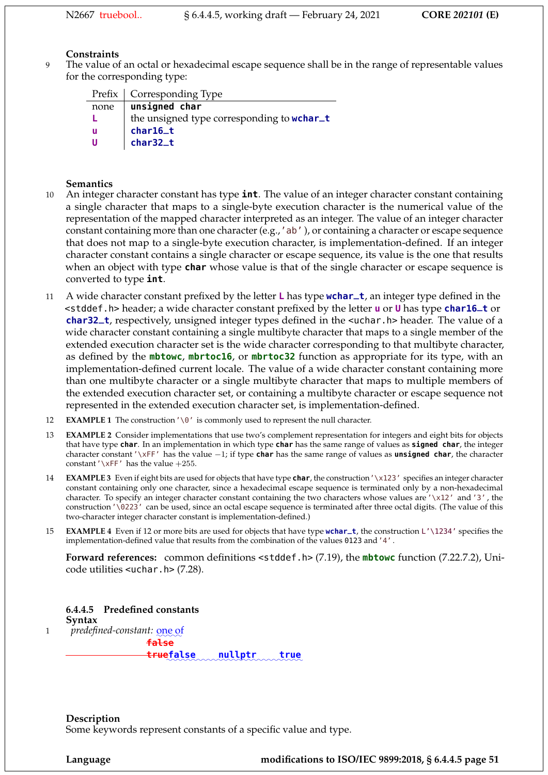## **Constraints**

9 The value of an octal or hexadecimal escape sequence shall be in the range of representable values for the corresponding type:

|      | Prefix   Corresponding Type                |
|------|--------------------------------------------|
| none | unsigned char                              |
|      | the unsigned type corresponding to wchar_t |
| u    | char16_t                                   |
| U    | char32_t                                   |

#### **Semantics**

- 10 An integer character constant has type **int**. The value of an integer character constant containing a single character that maps to a single-byte execution character is the numerical value of the representation of the mapped character interpreted as an integer. The value of an integer character constant containing more than one character (e.g., 'ab'), or containing a character or escape sequence that does not map to a single-byte execution character, is implementation-defined. If an integer character constant contains a single character or escape sequence, its value is the one that results when an object with type **char** whose value is that of the single character or escape sequence is converted to type **int**.
- <sup>11</sup> A wide character constant prefixed by the letter **L** has type **wchar\_t**, an integer type defined in the <stddef.h> header; a wide character constant prefixed by the letter **u** or **U** has type **char16\_t** or **char32\_t**, respectively, unsigned integer types defined in the <uchar.h> header. The value of a wide character constant containing a single multibyte character that maps to a single member of the extended execution character set is the wide character corresponding to that multibyte character, as defined by the **mbtowc**, **mbrtoc16**, or **mbrtoc32** function as appropriate for its type, with an implementation-defined current locale. The value of a wide character constant containing more than one multibyte character or a single multibyte character that maps to multiple members of the extended execution character set, or containing a multibyte character or escape sequence not represented in the extended execution character set, is implementation-defined.
- 12 **EXAMPLE 1** The construction'\0' is commonly used to represent the null character.
- 13 **EXAMPLE 2** Consider implementations that use two's complement representation for integers and eight bits for objects that have type **char**. In an implementation in which type **char** has the same range of values as **signed char**, the integer character constant'\xFF' has the value −1; if type **char** has the same range of values as **unsigned char**, the character constant '\xFF' has the value  $+255$ .
- 14 **EXAMPLE 3** Even if eight bits are used for objects that have type **char**, the construction'\x123' specifies an integer character constant containing only one character, since a hexadecimal escape sequence is terminated only by a non-hexadecimal character. To specify an integer character constant containing the two characters whose values are '\x12' and'3' , the construction'\0223' can be used, since an octal escape sequence is terminated after three octal digits. (The value of this two-character integer character constant is implementation-defined.)
- 15 **EXAMPLE 4** Even if 12 or more bits are used for objects that have type **wchar\_t**, the construction L'\1234' specifies the implementation-defined value that results from the combination of the values 0123 and'4' .

**Forward references:** common definitions <stddef.h> (7.19), the **mbtowc** function (7.22.7.2), Unicode utilities <uchar.h> (7.28).

**true**

**6.4.4.5 Predefined constants Syntax** 1 predefined-constant: <u>one o</u>f **false** truefalse **false** mullptr true

**Description** Some keywords represent constants of a specific value and type.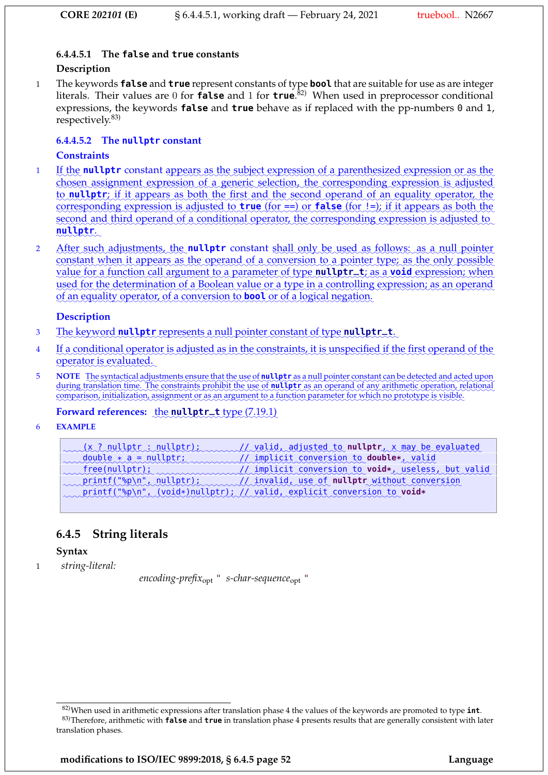## **6.4.4.5.1 The false and true constants**

#### **Description**

1 The keywords **false** and **true** represent constants of type **bool** that are suitable for use as are integer literals. Their values are 0 for **false** and 1 for **true**. 82) When used in preprocessor conditional expressions, the keywords **false** and **true** behave as if replaced with the pp-numbers 0 and 1, respectively.83)

## **6.4.4.5.2 The nullptr constant**

## **Constraints**

- 1 If the nullptr constant appears as the subject expression of a parenthesized expression or as the chosen assignment expression of a generic selection, the corresponding expression is adjusted ✿✿ ✿✿ ✿✿ ✿✿✿✿✿✿✿✿ ✿✿ ✿✿✿✿✿ ✿✿✿✿ ✿✿✿✿ ✿✿✿✿✿✿✿ ✿✿✿ ✿✿✿✿ to **nullptr**; if it appears as both the first and the second operand of an equality operator, the corresponding expression is adjusted to **true** (for ==) or **false** (for !=); if it appears as both the second and third operand of a conditional operator, the corresponding expression is adjusted to <mark>nullptr</mark>.
- $\overline{2}$ After such adjustments, the **nullptr** constant shall only be used as follows: as a null pointer constant when it appears as the operand of a conversion to a pointer type; as the only possible value for a function call argument to a parameter of type nullptr\_t; as a void expression; when used for the determination of a Boolean value or a type in a controlling expression; as an operand of an equality operator, of a conversion to **bool** or of a logical negation.

### **Description**

- 3 The keyword nullptr represents a null pointer constant of type nullptr\_t.
- 4 If a conditional operator is adjusted as in the constraints, it is unspecified if the first operand of the operator is evaluated.
- 5 NOTE The syntactical adjustments ensure that the use of **nullptr** as a null pointer constant can be detected and acted upon ✿✿✿ ✿✿✿✿✿✿✿ ✿✿✿✿✿✿✿✿✿ ✿✿✿✿✿ ✿✿✿ ✿✿✿ ✿✿✿ ✿ ✿✿✿✿✿✿✿ ✿✿ ✿ ✿✿✿ ✿✿✿✿✿ ✿✿✿✿✿✿✿ ✿✿ ✿✿ ✿✿✿✿✿✿✿ ✿✿✿ ✿✿✿✿ ✿✿✿✿ during translation time. The constraints prohibit the use of nullptr as an operand of any arithmetic operation, relational comparison, initialization, assignment or as an argument to a function parameter for which no prototype is visible.

# Forward references: the nullptr\_t type (7.19.1)

6 **EXAMPLE**

| (x ? nullptr : nullptr); valid, adjusted to nullptr, x may be evaluated            |
|------------------------------------------------------------------------------------|
| double * a = nullptr;<br>mplicit conversion to <b>double*</b> , valid              |
| free(nullptr); manufact conversion to void*, useless, but valid                    |
| printf("%p\n", nullptr); encoded invalid, use of <b>nullptr</b> without conversion |
| printf("%p\n", (void*)nullptr); // valid, explicit conversion to void*             |

# **6.4.5 String literals**

### **Syntax**

1 *string-literal:*

*encoding-prefix*opt " *s-char-sequence*opt "

**modifications to ISO/IEC 9899:2018, § 6.4.5 page 52 Language**

<sup>82)</sup>When used in arithmetic expressions after translation phase 4 the values of the keywords are promoted to type **int**. 83)Therefore, arithmetic with **false** and **true** in translation phase 4 presents results that are generally consistent with later translation phases.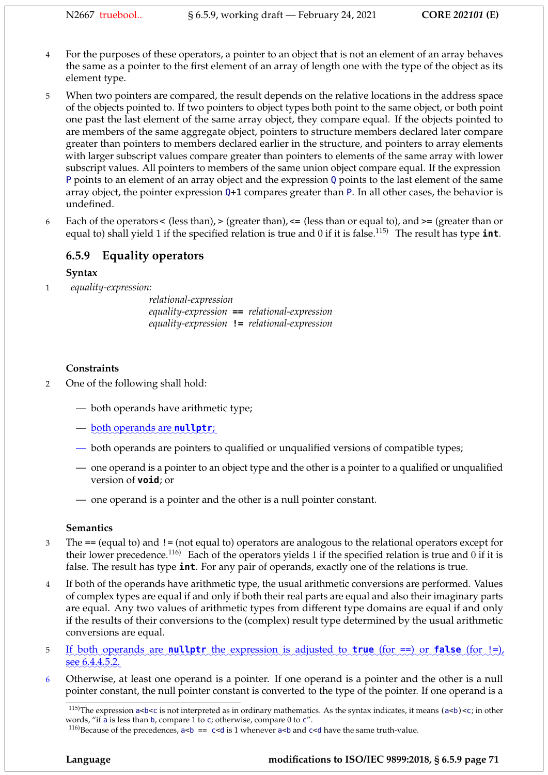- 4 For the purposes of these operators, a pointer to an object that is not an element of an array behaves the same as a pointer to the first element of an array of length one with the type of the object as its element type.
- 5 When two pointers are compared, the result depends on the relative locations in the address space of the objects pointed to. If two pointers to object types both point to the same object, or both point one past the last element of the same array object, they compare equal. If the objects pointed to are members of the same aggregate object, pointers to structure members declared later compare greater than pointers to members declared earlier in the structure, and pointers to array elements with larger subscript values compare greater than pointers to elements of the same array with lower subscript values. All pointers to members of the same union object compare equal. If the expression P points to an element of an array object and the expression Q points to the last element of the same array object, the pointer expression Q+1 compares greater than P. In all other cases, the behavior is undefined.
- 6 Each of the operators < (less than), > (greater than), <= (less than or equal to), and >= (greater than or equal to) shall yield 1 if the specified relation is true and 0 if it is false.<sup>115)</sup> The result has type **int**.

# **6.5.9 Equality operators**

## **Syntax**

1 *equality-expression:*

*relational-expression equality-expression* **==** *relational-expression equality-expression* **!=** *relational-expression*

## **Constraints**

- 2 One of the following shall hold:
	- both operands have arithmetic type;
	- <u>both operands are **nullptr**;</u>
	- both operands are pointers to qualified or unqualified versions of compatible types;
	- one operand is a pointer to an object type and the other is a pointer to a qualified or unqualified version of **void**; or
	- one operand is a pointer and the other is a null pointer constant.

### **Semantics**

- 3 The == (equal to) and != (not equal to) operators are analogous to the relational operators except for their lower precedence.<sup>116)</sup> Each of the operators yields 1 if the specified relation is true and 0 if it is false. The result has type **int**. For any pair of operands, exactly one of the relations is true.
- 4 If both of the operands have arithmetic type, the usual arithmetic conversions are performed. Values of complex types are equal if and only if both their real parts are equal and also their imaginary parts are equal. Any two values of arithmetic types from different type domains are equal if and only if the results of their conversions to the (complex) result type determined by the usual arithmetic conversions are equal.
- 5 If both operands are **nullptr** the expression is adjusted to **true** (for ==) or **false** (for !=),  $\frac{\sec 6.4.4.5.2}{2}$
- 6 Otherwise, at least one operand is a pointer. If one operand is a pointer and the other is a null pointer constant, the null pointer constant is converted to the type of the pointer. If one operand is a

<sup>&</sup>lt;sup>115)</sup>The expression a<br/>sls not interpreted as in ordinary mathematics. As the syntax indicates, it means (a<br/>sls) <c; in other words, "if a is less than b, compare 1 to c; otherwise, compare 0 to c".

<sup>&</sup>lt;sup>116</sup>)Because of the precedences,  $a < b$  == c<d is 1 whenever  $a < b$  and c<d have the same truth-value.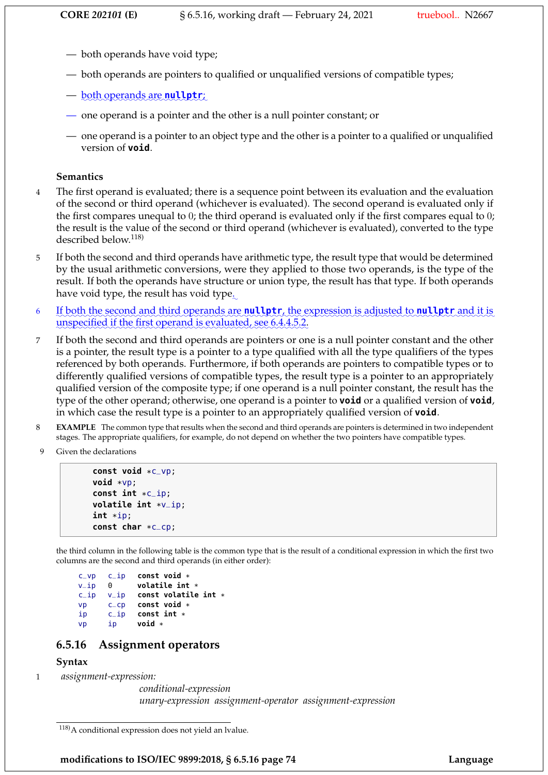- both operands have void type;
- both operands are pointers to qualified or unqualified versions of compatible types;
- <u>both operands are **nullptr**;</u>
- one operand is a pointer and the other is a null pointer constant; or
- one operand is a pointer to an object type and the other is a pointer to a qualified or unqualified version of **void**.

#### **Semantics**

- 4 The first operand is evaluated; there is a sequence point between its evaluation and the evaluation of the second or third operand (whichever is evaluated). The second operand is evaluated only if the first compares unequal to 0; the third operand is evaluated only if the first compares equal to 0; the result is the value of the second or third operand (whichever is evaluated), converted to the type described below.<sup>118)</sup>
- 5 If both the second and third operands have arithmetic type, the result type that would be determined by the usual arithmetic conversions, were they applied to those two operands, is the type of the result. If both the operands have structure or union type, the result has that type. If both operands have void type, the result has void type. $\Box$
- 6 If both the second and third operands are **nullptr**, the expression is adjusted to **nullptr** and it is unspecified if the first operand is evaluated, see 6.4.4.5.2.
- 7 If both the second and third operands are pointers or one is a null pointer constant and the other is a pointer, the result type is a pointer to a type qualified with all the type qualifiers of the types referenced by both operands. Furthermore, if both operands are pointers to compatible types or to differently qualified versions of compatible types, the result type is a pointer to an appropriately qualified version of the composite type; if one operand is a null pointer constant, the result has the type of the other operand; otherwise, one operand is a pointer to **void** or a qualified version of **void**, in which case the result type is a pointer to an appropriately qualified version of **void**.
- 8 **EXAMPLE** The common type that results when the second and third operands are pointers is determined in two independent stages. The appropriate qualifiers, for example, do not depend on whether the two pointers have compatible types.
- 9 Given the declarations

```
const void *c_vp;
void *vp;
const int *c_ip;
volatile int *v_ip;
int *ip;
const char *c_cp;
```
the third column in the following table is the common type that is the result of a conditional expression in which the first two columns are the second and third operands (in either order):

```
c_vp c_ip const void *
v_ip 0 volatile int *
c_ip v_ip const volatile int *
vp c_cp const void *
ip c_ip const int *
vp ip void *
```
## **6.5.16 Assignment operators**

## **Syntax**

1 *assignment-expression:*

*conditional-expression unary-expression assignment-operator assignment-expression*

**modifications to ISO/IEC 9899:2018, § 6.5.16 page 74 Language**

<sup>118)</sup>A conditional expression does not yield an lvalue.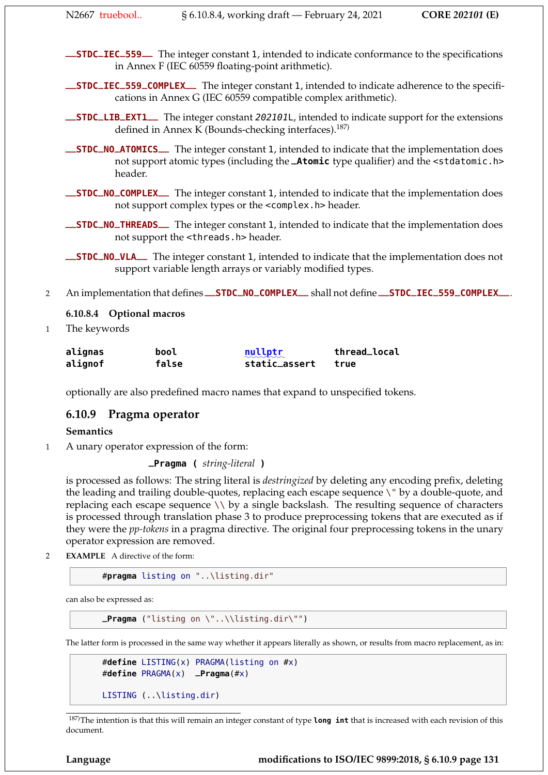**\_\_STDC\_IEC\_559\_\_** The integer constant 1, intended to indicate conformance to the specifications in Annex F (IEC 60559 floating-point arithmetic).

**\_\_STDC\_IEC\_559\_COMPLEX\_\_** The integer constant 1, intended to indicate adherence to the specifications in Annex G (IEC 60559 compatible complex arithmetic).

- **\_\_STDC\_LIB\_EXT1\_\_** The integer constant 202101L, intended to indicate support for the extensions defined in Annex K (Bounds-checking interfaces). $187$ )
- **\_\_STDC\_NO\_ATOMICS\_\_** The integer constant 1, intended to indicate that the implementation does not support atomic types (including the **\_Atomic** type qualifier) and the <stdatomic.h> header.
- **\_\_STDC\_NO\_COMPLEX\_\_** The integer constant 1, intended to indicate that the implementation does not support complex types or the <complex.h> header.
- **\_\_STDC\_NO\_THREADS\_\_** The integer constant 1, intended to indicate that the implementation does not support the <threads.h> header.

**\_\_STDC\_NO\_VLA\_\_** The integer constant 1, intended to indicate that the implementation does not support variable length arrays or variably modified types.

<sup>2</sup> An implementation that defines **\_\_STDC\_NO\_COMPLEX\_\_** shall not define **\_\_STDC\_IEC\_559\_COMPLEX\_\_**.

#### **6.10.8.4 Optional macros**

1 The keywords

| alignas | bool  | nullptr<br>$\sim$ $\sim$ $\sim$ $\sim$ | thread_local |
|---------|-------|----------------------------------------|--------------|
| alignof | false | static_assert                          | true         |

optionally are also predefined macro names that expand to unspecified tokens.

### **6.10.9 Pragma operator**

#### **Semantics**

1 A unary operator expression of the form:

**\_Pragma (** *string-literal* **)**

is processed as follows: The string literal is *destringized* by deleting any encoding prefix, deleting the leading and trailing double-quotes, replacing each escape sequence \" by a double-quote, and replacing each escape sequence \\ by a single backslash. The resulting sequence of characters is processed through translation phase 3 to produce preprocessing tokens that are executed as if they were the *pp-tokens* in a pragma directive. The original four preprocessing tokens in the unary operator expression are removed.

2 **EXAMPLE** A directive of the form:

```
#pragma listing on "..\listing.dir"
```
can also be expressed as:

**\_Pragma** ("listing on \"..\\listing.dir\"")

The latter form is processed in the same way whether it appears literally as shown, or results from macro replacement, as in:

```
#define LISTING(x) PRAGMA(listing on #x)
#define PRAGMA(x) _Pragma(#x)
LISTING (..\listing.dir)
```
187)The intention is that this will remain an integer constant of type **long int** that is increased with each revision of this document.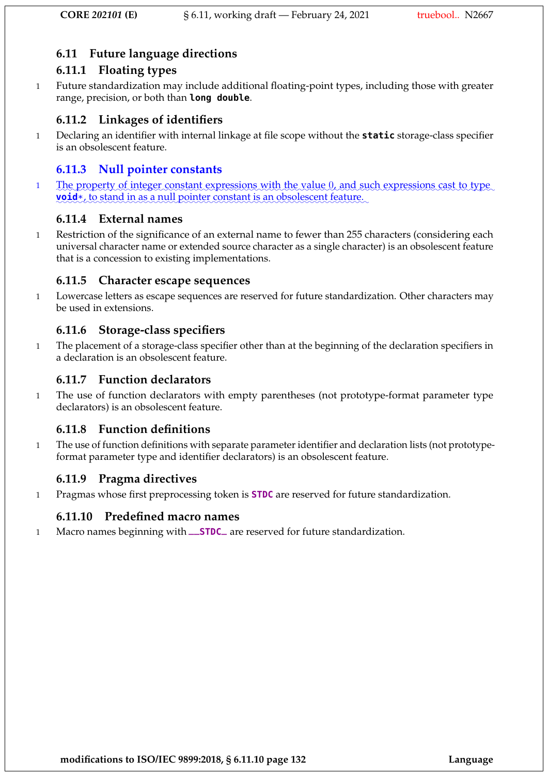# **6.11 Future language directions**

# **6.11.1 Floating types**

1 Future standardization may include additional floating-point types, including those with greater range, precision, or both than **long double**.

# **6.11.2 Linkages of identifiers**

1 Declaring an identifier with internal linkage at file scope without the **static** storage-class specifier is an obsolescent feature.

# **6.11.3 Null pointer constants**

1 The property of integer constant expressions with the value 0, and such expressions cast to type **void**\*, to stand in as a null pointer constant is an obsolescent feature.

# **6.11.4 External names**

1 Restriction of the significance of an external name to fewer than 255 characters (considering each universal character name or extended source character as a single character) is an obsolescent feature that is a concession to existing implementations.

# **6.11.5 Character escape sequences**

1 Lowercase letters as escape sequences are reserved for future standardization. Other characters may be used in extensions.

# **6.11.6 Storage-class specifiers**

1 The placement of a storage-class specifier other than at the beginning of the declaration specifiers in a declaration is an obsolescent feature.

# **6.11.7 Function declarators**

1 The use of function declarators with empty parentheses (not prototype-format parameter type declarators) is an obsolescent feature.

# **6.11.8 Function definitions**

1 The use of function definitions with separate parameter identifier and declaration lists (not prototypeformat parameter type and identifier declarators) is an obsolescent feature.

# **6.11.9 Pragma directives**

1 Pragmas whose first preprocessing token is **STDC** are reserved for future standardization.

# **6.11.10 Predefined macro names**

<sup>1</sup> Macro names beginning with **\_\_STDC\_** are reserved for future standardization.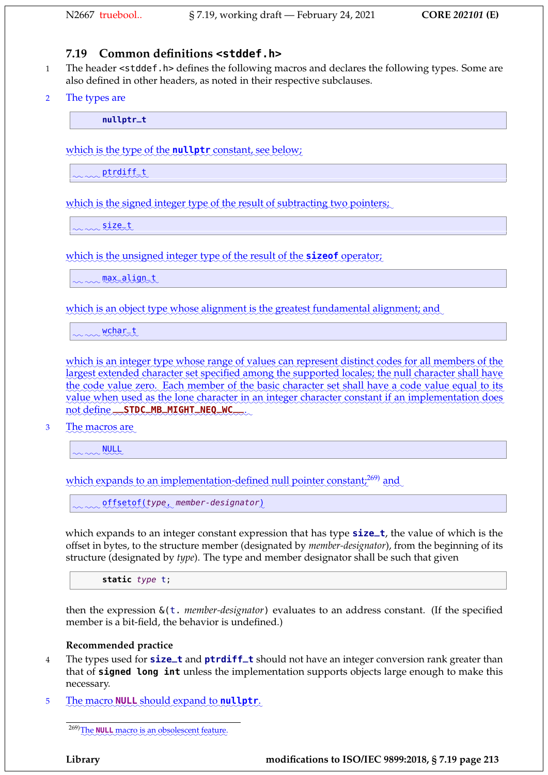# **7.19 Common definitions <stddef.h>**

- 1 The header <stddef.h> defines the following macros and declares the following types. Some are also defined in other headers, as noted in their respective subclauses.
- 2 The types are

**nullptr\_t**

which is the type of the **nullptr** constant, see below;

mmptrdiff\_t

which is the signed integer type of the result of subtracting two pointers;

 $\sim \infty$ size\_t

which is the unsigned integer type of the result of the **sizeof** operator;

max\_align\_t

which is an object type whose alignment is the greatest fundamental alignment; and

wchart

which is an integer type whose range of values can represent distinct codes for all members of the largest extended character set specified among the supported locales; the null character shall have the code value zero. Each member of the basic character set shall have a code value equal to its value when used as the lone character in an integer character constant if an implementation does not define \_\_STDC\_MB\_MIGHT\_NEQ\_WC\_\_\_.

3 The macros are

www.<u>NULL</u>

which expands to an implementation-defined null pointer constant;<sup>269)</sup> and

 $\sim$   $\sim$  offsetof(type, member-designator)

which expands to an integer constant expression that has type **size\_t**, the value of which is the offset in bytes, to the structure member (designated by *member-designator*), from the beginning of its structure (designated by *type*). The type and member designator shall be such that given

static type t;

then the expression &(t. *member-designator*) evaluates to an address constant. (If the specified member is a bit-field, the behavior is undefined.)

#### **Recommended practice**

- <sup>4</sup> The types used for **size\_t** and **ptrdiff\_t** should not have an integer conversion rank greater than that of **signed long int** unless the implementation supports objects large enough to make this necessary.
- 5 The macro **NULL** should expand to **nullptr**.

<sup>269)</sup>The **NULL** macro is an obsolescent feature.

**Library modifications to ISO/IEC 9899:2018, § 7.19 page 213**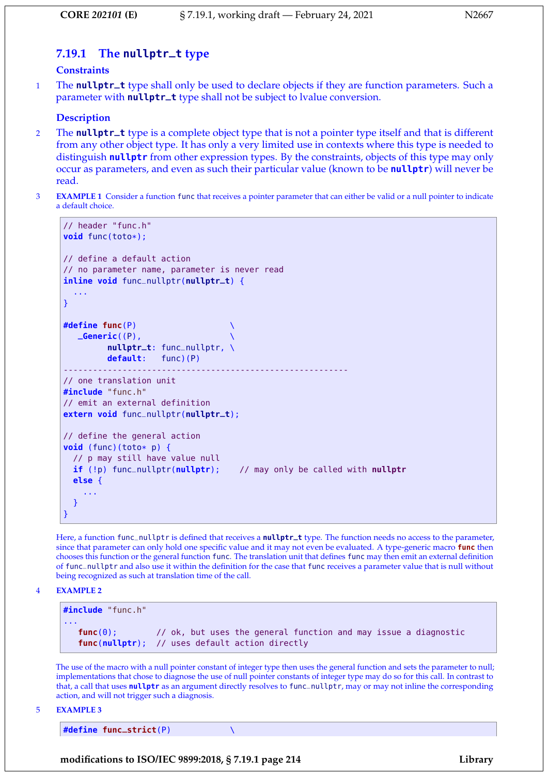# **7.19.1 The nullptr\_t type**

#### **Constraints**

<sup>1</sup> The **nullptr\_t** type shall only be used to declare objects if they are function parameters. Such a parameter with **nullptr\_t** type shall not be subject to lvalue conversion.

#### **Description**

- <sup>2</sup> The **nullptr\_t** type is a complete object type that is not a pointer type itself and that is different from any other object type. It has only a very limited use in contexts where this type is needed to distinguish **nullptr** from other expression types. By the constraints, objects of this type may only occur as parameters, and even as such their particular value (known to be **nullptr**) will never be read.
- 3 **EXAMPLE 1** Consider a function func that receives a pointer parameter that can either be valid or a null pointer to indicate a default choice.

```
// header "func.h"
void func(toto*);
// define a default action
// no parameter name, parameter is never read
inline void func_nullptr(nullptr_t) {
  ...
}
#define func(P) \
   _Generic((P), \
         nullptr_t: func_nullptr, \
         default: func)(P)
----------------------------------------------------------
// one translation unit
#include "func.h"
// emit an external definition
extern void func_nullptr(nullptr_t);
// define the general action
void (func)(toto* p) {
  // p may still have value null
  if (!p) func_nullptr(nullptr); // may only be called with nullptr
  else {
    ...
  }
}
```
Here, a function func\_nullptr is defined that receives a **nullptr\_t** type. The function needs no access to the parameter, since that parameter can only hold one specific value and it may not even be evaluated. A type-generic macro **func** then chooses this function or the general function func. The translation unit that defines func may then emit an external definition of func\_nullptr and also use it within the definition for the case that func receives a parameter value that is null without being recognized as such at translation time of the call.

#### 4 **EXAMPLE 2**

**#include** "func.h" ... **func**(0); // ok, but uses the general function and may issue a diagnostic **func**(**nullptr**); // uses default action directly

The use of the macro with a null pointer constant of integer type then uses the general function and sets the parameter to null; implementations that chose to diagnose the use of null pointer constants of integer type may do so for this call. In contrast to that, a call that uses **nullptr** as an argument directly resolves to func\_nullptr, may or may not inline the corresponding action, and will not trigger such a diagnosis.

5 **EXAMPLE 3**

**#define func\_strict**(P) \

**modifications to ISO/IEC 9899:2018, § 7.19.1 page 214 Library**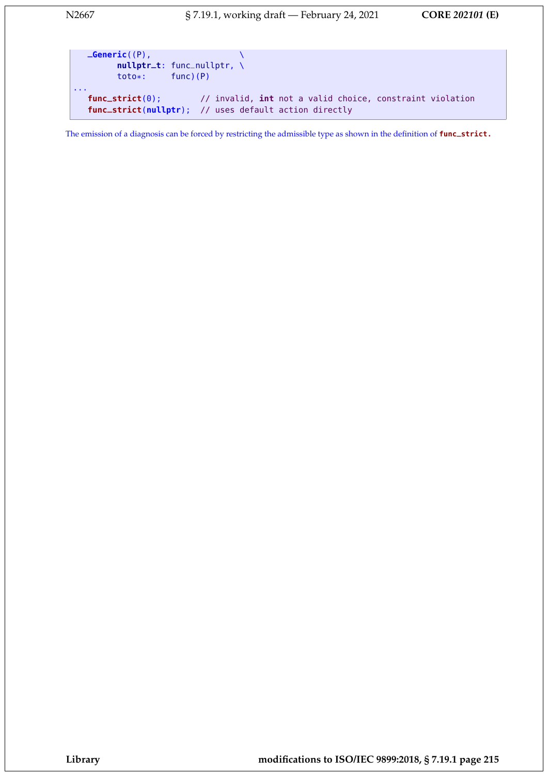```
_Generic((P), \
        nullptr_t: func_nullptr, \
        toto*: func)(P)
...
  func_strict(0); // invalid, int not a valid choice, constraint violation
  func_strict(nullptr); // uses default action directly
```
The emission of a diagnosis can be forced by restricting the admissible type as shown in the definition of **func\_strict.**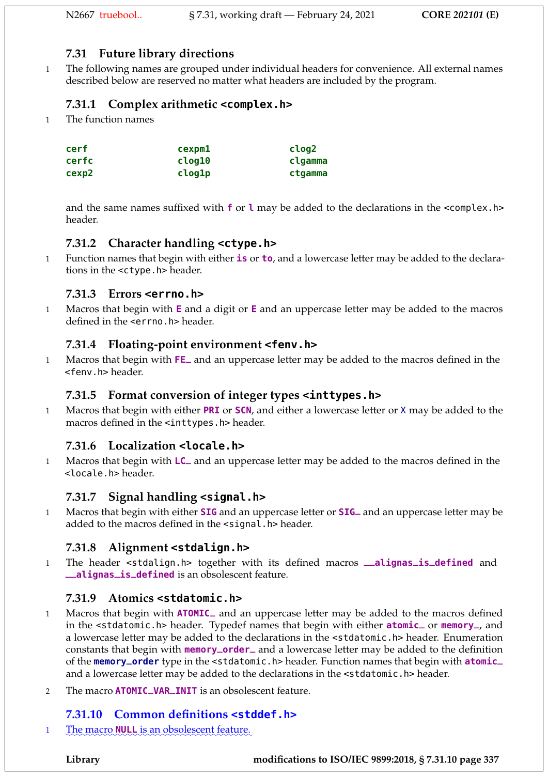# **7.31 Future library directions**

1 The following names are grouped under individual headers for convenience. All external names described below are reserved no matter what headers are included by the program.

# **7.31.1 Complex arithmetic <complex.h>**

1 The function names

| cerf  | cexpm1 | clog2   |
|-------|--------|---------|
| cerfc | clog10 | clgamma |
| cexp2 | clog1p | ctgamma |

and the same names suffixed with **f** or **l** may be added to the declarations in the <complex.h> header.

# **7.31.2 Character handling <ctype.h>**

1 Function names that begin with either **is** or **to**, and a lowercase letter may be added to the declarations in the <ctype.h> header.

# **7.31.3 Errors <errno.h>**

1 Macros that begin with **E** and a digit or **E** and an uppercase letter may be added to the macros defined in the **serrno**.h> header.

# **7.31.4 Floating-point environment <fenv.h>**

<sup>1</sup> Macros that begin with **FE\_** and an uppercase letter may be added to the macros defined in the <fenv.h> header.

# **7.31.5 Format conversion of integer types <inttypes.h>**

1 Macros that begin with either **PRI** or **SCN**, and either a lowercase letter or X may be added to the macros defined in the <inttypes.h> header.

# **7.31.6 Localization <locale.h>**

<sup>1</sup> Macros that begin with **LC\_** and an uppercase letter may be added to the macros defined in the <locale.h> header.

# **7.31.7 Signal handling <signal.h>**

<sup>1</sup> Macros that begin with either **SIG** and an uppercase letter or **SIG\_** and an uppercase letter may be added to the macros defined in the <signal.h> header.

# **7.31.8 Alignment <stdalign.h>**

<sup>1</sup> The header <stdalign.h> together with its defined macros **\_\_alignas\_is\_defined** and **\_\_alignas\_is\_defined** is an obsolescent feature.

# **7.31.9 Atomics <stdatomic.h>**

- <sup>1</sup> Macros that begin with **ATOMIC\_** and an uppercase letter may be added to the macros defined in the <stdatomic.h> header. Typedef names that begin with either **atomic\_** or **memory\_**, and a lowercase letter may be added to the declarations in the <stdatomic.h> header. Enumeration constants that begin with **memory\_order\_** and a lowercase letter may be added to the definition of the **memory\_order** type in the <stdatomic.h> header. Function names that begin with **atomic\_** and a lowercase letter may be added to the declarations in the <stdatomic.h> header.
- <sup>2</sup> The macro **ATOMIC\_VAR\_INIT** is an obsolescent feature.

# **7.31.10 Common definitions <stddef.h>**

1 The macro **NULL** is an obsolescent feature.